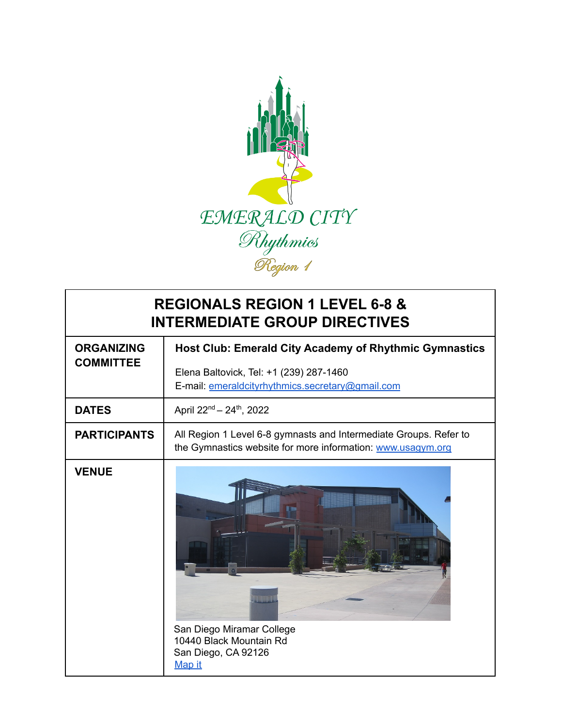

## **REGIONALS REGION 1 LEVEL 6-8 & INTERMEDIATE GROUP DIRECTIVES**

| <b>ORGANIZING</b><br><b>COMMITTEE</b> | Host Club: Emerald City Academy of Rhythmic Gymnastics                                                                           |
|---------------------------------------|----------------------------------------------------------------------------------------------------------------------------------|
|                                       | Elena Baltovick, Tel: +1 (239) 287-1460<br>E-mail: emeraldcityrhythmics.secretary@gmail.com                                      |
| <b>DATES</b>                          | April 22 <sup>nd</sup> - 24 <sup>th</sup> , 2022                                                                                 |
| <b>PARTICIPANTS</b>                   | All Region 1 Level 6-8 gymnasts and Intermediate Groups. Refer to<br>the Gymnastics website for more information: www.usagym.org |
| <b>VENUE</b>                          | San Diego Miramar College<br>10440 Black Mountain Rd<br>San Diego, CA 92126<br>Map it                                            |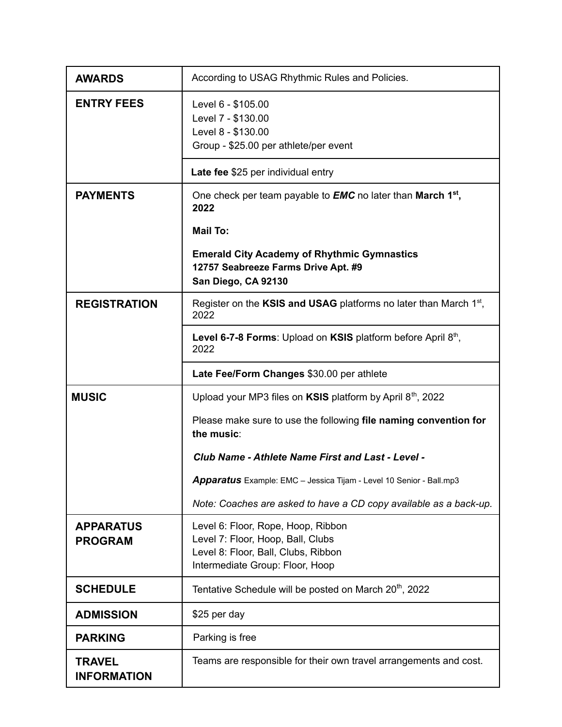| <b>AWARDS</b>                       | According to USAG Rhythmic Rules and Policies.                                                                                                    |
|-------------------------------------|---------------------------------------------------------------------------------------------------------------------------------------------------|
| <b>ENTRY FEES</b>                   | Level 6 - \$105.00<br>Level 7 - \$130.00<br>Level 8 - \$130.00<br>Group - \$25.00 per athlete/per event                                           |
|                                     | Late fee \$25 per individual entry                                                                                                                |
| <b>PAYMENTS</b>                     | One check per team payable to <b>EMC</b> no later than <b>March 1</b> <sup>st</sup> ,<br>2022                                                     |
|                                     | <b>Mail To:</b>                                                                                                                                   |
|                                     | <b>Emerald City Academy of Rhythmic Gymnastics</b><br>12757 Seabreeze Farms Drive Apt. #9<br>San Diego, CA 92130                                  |
| <b>REGISTRATION</b>                 | Register on the KSIS and USAG platforms no later than March $1st$ ,<br>2022                                                                       |
|                                     | Level 6-7-8 Forms: Upload on KSIS platform before April 8th,<br>2022                                                                              |
|                                     | Late Fee/Form Changes \$30.00 per athlete                                                                                                         |
| <b>MUSIC</b>                        | Upload your MP3 files on KSIS platform by April 8 <sup>th</sup> , 2022                                                                            |
|                                     | Please make sure to use the following file naming convention for<br>the music:                                                                    |
|                                     | Club Name - Athlete Name First and Last - Level -                                                                                                 |
|                                     | Apparatus Example: EMC - Jessica Tijam - Level 10 Senior - Ball.mp3                                                                               |
|                                     | Note: Coaches are asked to have a CD copy available as a back-up.                                                                                 |
| <b>APPARATUS</b><br><b>PROGRAM</b>  | Level 6: Floor, Rope, Hoop, Ribbon<br>Level 7: Floor, Hoop, Ball, Clubs<br>Level 8: Floor, Ball, Clubs, Ribbon<br>Intermediate Group: Floor, Hoop |
| <b>SCHEDULE</b>                     | Tentative Schedule will be posted on March 20 <sup>th</sup> , 2022                                                                                |
| <b>ADMISSION</b>                    | \$25 per day                                                                                                                                      |
| <b>PARKING</b>                      | Parking is free                                                                                                                                   |
| <b>TRAVEL</b><br><b>INFORMATION</b> | Teams are responsible for their own travel arrangements and cost.                                                                                 |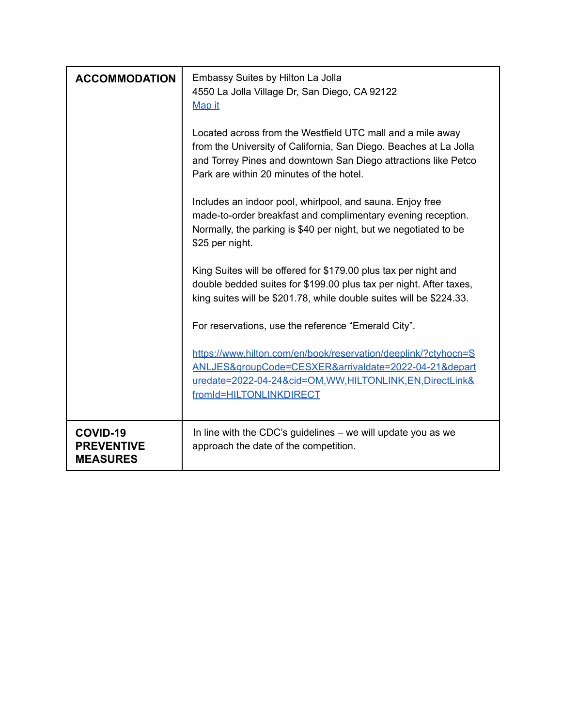| <b>ACCOMMODATION</b>                             | Embassy Suites by Hilton La Jolla<br>4550 La Jolla Village Dr, San Diego, CA 92122<br>Map it<br>Located across from the Westfield UTC mall and a mile away<br>from the University of California, San Diego. Beaches at La Jolla<br>and Torrey Pines and downtown San Diego attractions like Petco<br>Park are within 20 minutes of the hotel.<br>Includes an indoor pool, whirlpool, and sauna. Enjoy free<br>made-to-order breakfast and complimentary evening reception.<br>Normally, the parking is \$40 per night, but we negotiated to be<br>\$25 per night.<br>King Suites will be offered for \$179.00 plus tax per night and<br>double bedded suites for \$199.00 plus tax per night. After taxes,<br>king suites will be \$201.78, while double suites will be \$224.33. |
|--------------------------------------------------|-----------------------------------------------------------------------------------------------------------------------------------------------------------------------------------------------------------------------------------------------------------------------------------------------------------------------------------------------------------------------------------------------------------------------------------------------------------------------------------------------------------------------------------------------------------------------------------------------------------------------------------------------------------------------------------------------------------------------------------------------------------------------------------|
|                                                  | For reservations, use the reference "Emerald City".<br>https://www.hilton.com/en/book/reservation/deeplink/?ctyhocn=S<br>ANLJES&groupCode=CESXER&arrivaldate=2022-04-21&depart                                                                                                                                                                                                                                                                                                                                                                                                                                                                                                                                                                                                    |
|                                                  | uredate=2022-04-24&cid=OM,WW,HILTONLINK,EN,DirectLink&<br>fromId=HILTONLINKDIRECT                                                                                                                                                                                                                                                                                                                                                                                                                                                                                                                                                                                                                                                                                                 |
| COVID-19<br><b>PREVENTIVE</b><br><b>MEASURES</b> | In line with the CDC's guidelines – we will update you as we<br>approach the date of the competition.                                                                                                                                                                                                                                                                                                                                                                                                                                                                                                                                                                                                                                                                             |